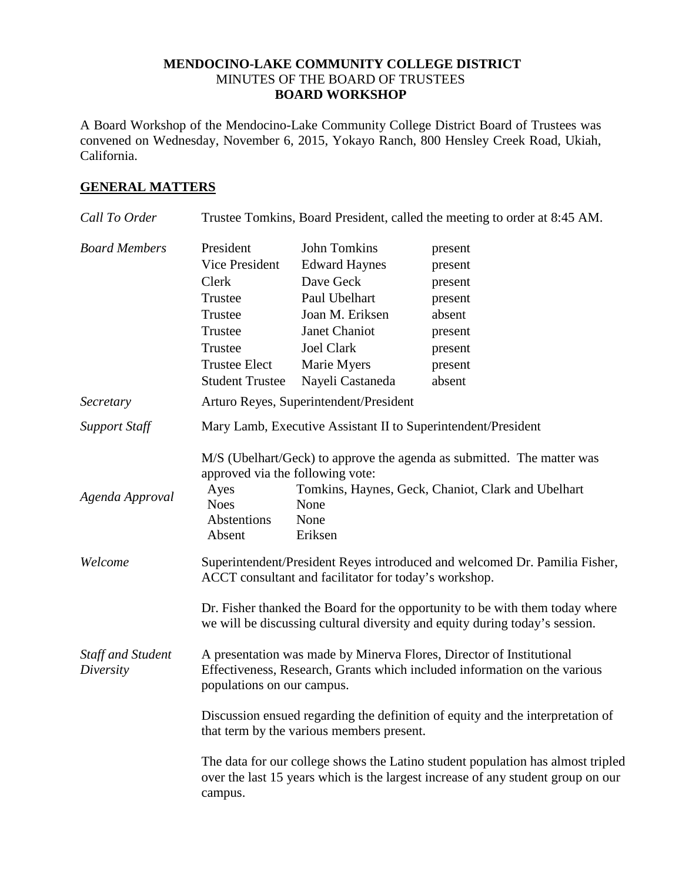## **MENDOCINO-LAKE COMMUNITY COLLEGE DISTRICT** MINUTES OF THE BOARD OF TRUSTEES **BOARD WORKSHOP**

A Board Workshop of the Mendocino-Lake Community College District Board of Trustees was convened on Wednesday, November 6, 2015, Yokayo Ranch, 800 Hensley Creek Road, Ukiah, California.

## **GENERAL MATTERS**

| Call To Order                         | Trustee Tomkins, Board President, called the meeting to order at 8:45 AM.                                                                                                                                                                   |                                                                           |                               |
|---------------------------------------|---------------------------------------------------------------------------------------------------------------------------------------------------------------------------------------------------------------------------------------------|---------------------------------------------------------------------------|-------------------------------|
| <b>Board Members</b>                  | President<br>Vice President<br>Clerk<br>Trustee                                                                                                                                                                                             | <b>John Tomkins</b><br><b>Edward Haynes</b><br>Dave Geck<br>Paul Ubelhart | present<br>present<br>present |
|                                       | Trustee                                                                                                                                                                                                                                     | Joan M. Eriksen                                                           | present<br>absent             |
|                                       | Trustee                                                                                                                                                                                                                                     | Janet Chaniot                                                             | present                       |
|                                       | Trustee                                                                                                                                                                                                                                     | <b>Joel Clark</b>                                                         | present                       |
|                                       | <b>Trustee Elect</b>                                                                                                                                                                                                                        | Marie Myers                                                               | present                       |
|                                       | <b>Student Trustee</b>                                                                                                                                                                                                                      | Nayeli Castaneda                                                          | absent                        |
| Secretary                             | Arturo Reyes, Superintendent/President                                                                                                                                                                                                      |                                                                           |                               |
| <b>Support Staff</b>                  | Mary Lamb, Executive Assistant II to Superintendent/President                                                                                                                                                                               |                                                                           |                               |
| Agenda Approval                       | M/S (Ubelhart/Geck) to approve the agenda as submitted. The matter was<br>approved via the following vote:<br>Tomkins, Haynes, Geck, Chaniot, Clark and Ubelhart<br>Ayes<br><b>Noes</b><br>None<br>Abstentions<br>None<br>Absent<br>Eriksen |                                                                           |                               |
| Welcome                               | Superintendent/President Reyes introduced and welcomed Dr. Pamilia Fisher,<br>ACCT consultant and facilitator for today's workshop.                                                                                                         |                                                                           |                               |
|                                       | Dr. Fisher thanked the Board for the opportunity to be with them today where<br>we will be discussing cultural diversity and equity during today's session.                                                                                 |                                                                           |                               |
| <b>Staff and Student</b><br>Diversity | A presentation was made by Minerva Flores, Director of Institutional<br>Effectiveness, Research, Grants which included information on the various<br>populations on our campus.                                                             |                                                                           |                               |
|                                       | Discussion ensued regarding the definition of equity and the interpretation of<br>that term by the various members present.                                                                                                                 |                                                                           |                               |
|                                       | The data for our college shows the Latino student population has almost tripled<br>over the last 15 years which is the largest increase of any student group on our<br>campus.                                                              |                                                                           |                               |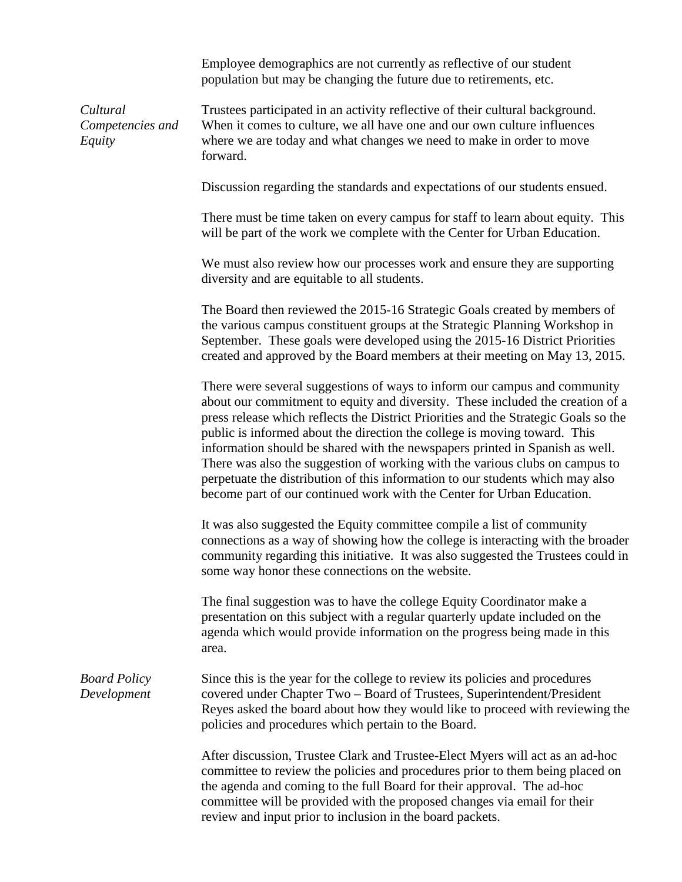Employee demographics are not currently as reflective of our student population but may be changing the future due to retirements, etc.

*Cultural Competencies and Equity*

Trustees participated in an activity reflective of their cultural background. When it comes to culture, we all have one and our own culture influences where we are today and what changes we need to make in order to move forward.

Discussion regarding the standards and expectations of our students ensued.

There must be time taken on every campus for staff to learn about equity. This will be part of the work we complete with the Center for Urban Education.

We must also review how our processes work and ensure they are supporting diversity and are equitable to all students.

The Board then reviewed the 2015-16 Strategic Goals created by members of the various campus constituent groups at the Strategic Planning Workshop in September. These goals were developed using the 2015-16 District Priorities created and approved by the Board members at their meeting on May 13, 2015.

There were several suggestions of ways to inform our campus and community about our commitment to equity and diversity. These included the creation of a press release which reflects the District Priorities and the Strategic Goals so the public is informed about the direction the college is moving toward. This information should be shared with the newspapers printed in Spanish as well. There was also the suggestion of working with the various clubs on campus to perpetuate the distribution of this information to our students which may also become part of our continued work with the Center for Urban Education.

It was also suggested the Equity committee compile a list of community connections as a way of showing how the college is interacting with the broader community regarding this initiative. It was also suggested the Trustees could in some way honor these connections on the website.

The final suggestion was to have the college Equity Coordinator make a presentation on this subject with a regular quarterly update included on the agenda which would provide information on the progress being made in this area.

*Board Policy Development* Since this is the year for the college to review its policies and procedures covered under Chapter Two – Board of Trustees, Superintendent/President Reyes asked the board about how they would like to proceed with reviewing the policies and procedures which pertain to the Board.

> After discussion, Trustee Clark and Trustee-Elect Myers will act as an ad-hoc committee to review the policies and procedures prior to them being placed on the agenda and coming to the full Board for their approval. The ad-hoc committee will be provided with the proposed changes via email for their review and input prior to inclusion in the board packets.